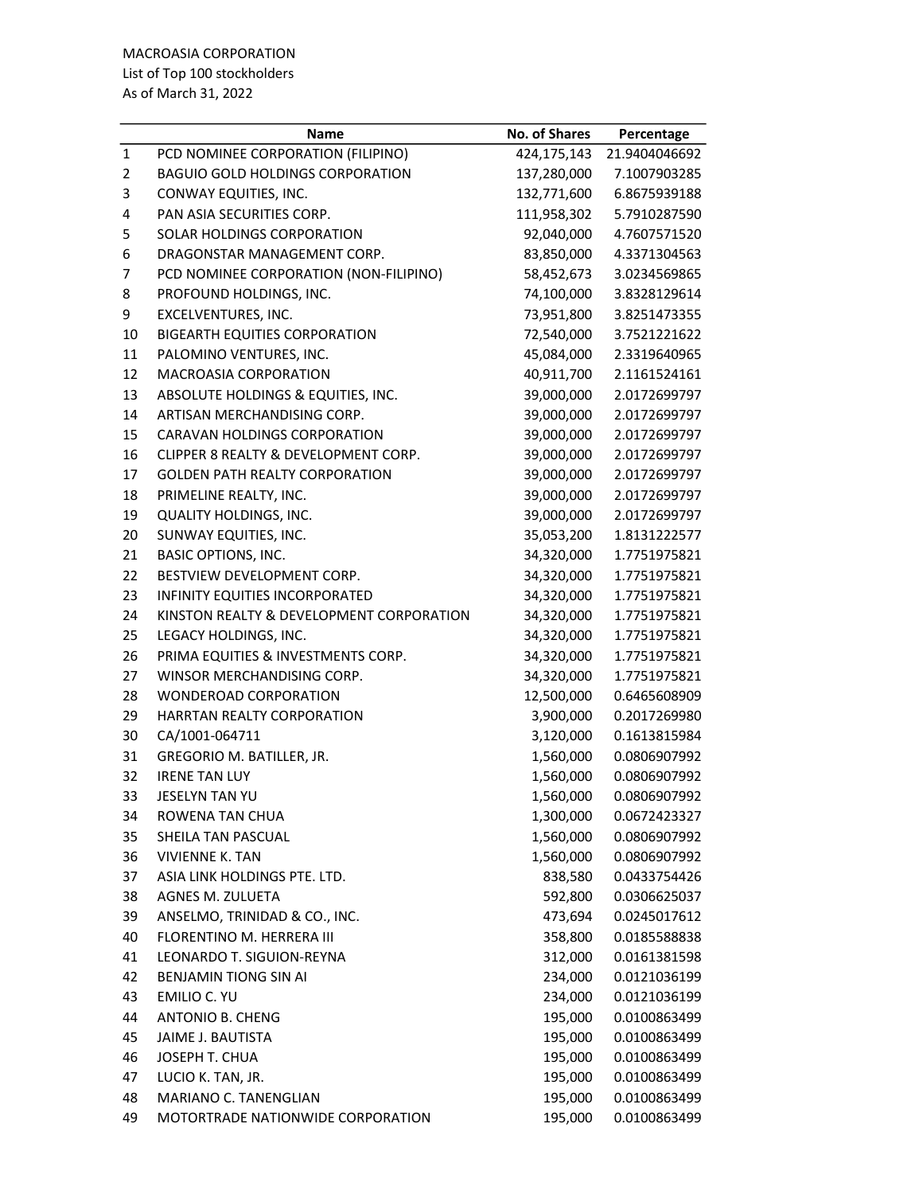| PCD NOMINEE CORPORATION (FILIPINO)<br>424,175,143<br>1<br>21.9404046692<br>$\overline{2}$<br><b>BAGUIO GOLD HOLDINGS CORPORATION</b><br>137,280,000<br>7.1007903285<br>3<br>132,771,600<br>CONWAY EQUITIES, INC.<br>6.8675939188<br>111,958,302<br>4<br>PAN ASIA SECURITIES CORP.<br>5.7910287590<br>5<br>SOLAR HOLDINGS CORPORATION<br>92,040,000<br>4.7607571520<br>6<br>DRAGONSTAR MANAGEMENT CORP.<br>83,850,000<br>4.3371304563<br>7<br>PCD NOMINEE CORPORATION (NON-FILIPINO)<br>58,452,673<br>3.0234569865<br>8<br>PROFOUND HOLDINGS, INC.<br>74,100,000<br>3.8328129614<br>9<br>73,951,800<br>EXCELVENTURES, INC.<br>3.8251473355<br><b>BIGEARTH EQUITIES CORPORATION</b><br>72,540,000<br>10<br>3.7521221622<br>11<br>PALOMINO VENTURES, INC.<br>45,084,000<br>2.3319640965<br>12<br>MACROASIA CORPORATION<br>40,911,700<br>2.1161524161<br>13<br>ABSOLUTE HOLDINGS & EQUITIES, INC.<br>39,000,000<br>2.0172699797<br>ARTISAN MERCHANDISING CORP.<br>39,000,000<br>14<br>2.0172699797<br><b>CARAVAN HOLDINGS CORPORATION</b><br>39,000,000<br>2.0172699797<br>15<br>16<br>CLIPPER 8 REALTY & DEVELOPMENT CORP.<br>39,000,000<br>2.0172699797<br>17<br><b>GOLDEN PATH REALTY CORPORATION</b><br>39,000,000<br>2.0172699797<br>18<br>39,000,000<br>PRIMELINE REALTY, INC.<br>2.0172699797<br>19<br><b>QUALITY HOLDINGS, INC.</b><br>39,000,000<br>2.0172699797<br>35,053,200<br>20<br>SUNWAY EQUITIES, INC.<br>1.8131222577<br>21<br><b>BASIC OPTIONS, INC.</b><br>34,320,000<br>1.7751975821<br>22<br>BESTVIEW DEVELOPMENT CORP.<br>34,320,000<br>1.7751975821<br>23<br>INFINITY EQUITIES INCORPORATED<br>34,320,000<br>1.7751975821<br>24<br>KINSTON REALTY & DEVELOPMENT CORPORATION<br>34,320,000<br>1.7751975821<br>LEGACY HOLDINGS, INC.<br>34,320,000<br>25<br>1.7751975821<br>26<br>PRIMA EQUITIES & INVESTMENTS CORP.<br>34,320,000<br>1.7751975821<br>27<br>34,320,000<br>WINSOR MERCHANDISING CORP.<br>1.7751975821<br>12,500,000<br>28<br><b>WONDEROAD CORPORATION</b><br>0.6465608909<br>HARRTAN REALTY CORPORATION<br>3,900,000<br>0.2017269980<br>29<br>30<br>CA/1001-064711<br>3,120,000<br>0.1613815984<br>1,560,000<br>31<br>GREGORIO M. BATILLER, JR.<br>0.0806907992<br>32<br><b>IRENE TAN LUY</b><br>1,560,000<br>0.0806907992<br>0.0806907992<br>33<br>1,560,000<br>JESELYN TAN YU<br>ROWENA TAN CHUA<br>1,300,000<br>34<br>0.0672423327<br>35<br>1,560,000<br>SHEILA TAN PASCUAL<br>0.0806907992<br>1,560,000<br><b>VIVIENNE K. TAN</b><br>36<br>0.0806907992<br>ASIA LINK HOLDINGS PTE. LTD.<br>838,580<br>37<br>0.0433754426<br><b>AGNES M. ZULUETA</b><br>38<br>592,800<br>0.0306625037<br>ANSELMO, TRINIDAD & CO., INC.<br>39<br>473,694<br>0.0245017612<br>FLORENTINO M. HERRERA III<br>358,800<br>40<br>0.0185588838<br>312,000<br>41<br>LEONARDO T. SIGUION-REYNA<br>0.0161381598<br>234,000<br>42<br><b>BENJAMIN TIONG SIN AI</b><br>0.0121036199<br>43<br>EMILIO C. YU<br>234,000<br>0.0121036199<br>195,000<br>44<br>ANTONIO B. CHENG<br>0.0100863499<br>195,000<br>45<br>JAIME J. BAUTISTA<br>0.0100863499<br>195,000<br>46<br>JOSEPH T. CHUA<br>0.0100863499<br>LUCIO K. TAN, JR.<br>195,000<br>47<br>0.0100863499<br>MARIANO C. TANENGLIAN<br>195,000<br>48<br>0.0100863499<br>195,000<br>49<br>MOTORTRADE NATIONWIDE CORPORATION<br>0.0100863499 | Name | <b>No. of Shares</b> | Percentage |
|----------------------------------------------------------------------------------------------------------------------------------------------------------------------------------------------------------------------------------------------------------------------------------------------------------------------------------------------------------------------------------------------------------------------------------------------------------------------------------------------------------------------------------------------------------------------------------------------------------------------------------------------------------------------------------------------------------------------------------------------------------------------------------------------------------------------------------------------------------------------------------------------------------------------------------------------------------------------------------------------------------------------------------------------------------------------------------------------------------------------------------------------------------------------------------------------------------------------------------------------------------------------------------------------------------------------------------------------------------------------------------------------------------------------------------------------------------------------------------------------------------------------------------------------------------------------------------------------------------------------------------------------------------------------------------------------------------------------------------------------------------------------------------------------------------------------------------------------------------------------------------------------------------------------------------------------------------------------------------------------------------------------------------------------------------------------------------------------------------------------------------------------------------------------------------------------------------------------------------------------------------------------------------------------------------------------------------------------------------------------------------------------------------------------------------------------------------------------------------------------------------------------------------------------------------------------------------------------------------------------------------------------------------------------------------------------------------------------------------------------------------------------------------------------------------------------------------------------------------------------------------------------------------------------------------------------------------------------------------------------------------------------------------------------------------------------------------------------------------------------------------------------------------------------------------------------------------------------------------------------------------------------------------------------|------|----------------------|------------|
|                                                                                                                                                                                                                                                                                                                                                                                                                                                                                                                                                                                                                                                                                                                                                                                                                                                                                                                                                                                                                                                                                                                                                                                                                                                                                                                                                                                                                                                                                                                                                                                                                                                                                                                                                                                                                                                                                                                                                                                                                                                                                                                                                                                                                                                                                                                                                                                                                                                                                                                                                                                                                                                                                                                                                                                                                                                                                                                                                                                                                                                                                                                                                                                                                                                                                              |      |                      |            |
|                                                                                                                                                                                                                                                                                                                                                                                                                                                                                                                                                                                                                                                                                                                                                                                                                                                                                                                                                                                                                                                                                                                                                                                                                                                                                                                                                                                                                                                                                                                                                                                                                                                                                                                                                                                                                                                                                                                                                                                                                                                                                                                                                                                                                                                                                                                                                                                                                                                                                                                                                                                                                                                                                                                                                                                                                                                                                                                                                                                                                                                                                                                                                                                                                                                                                              |      |                      |            |
|                                                                                                                                                                                                                                                                                                                                                                                                                                                                                                                                                                                                                                                                                                                                                                                                                                                                                                                                                                                                                                                                                                                                                                                                                                                                                                                                                                                                                                                                                                                                                                                                                                                                                                                                                                                                                                                                                                                                                                                                                                                                                                                                                                                                                                                                                                                                                                                                                                                                                                                                                                                                                                                                                                                                                                                                                                                                                                                                                                                                                                                                                                                                                                                                                                                                                              |      |                      |            |
|                                                                                                                                                                                                                                                                                                                                                                                                                                                                                                                                                                                                                                                                                                                                                                                                                                                                                                                                                                                                                                                                                                                                                                                                                                                                                                                                                                                                                                                                                                                                                                                                                                                                                                                                                                                                                                                                                                                                                                                                                                                                                                                                                                                                                                                                                                                                                                                                                                                                                                                                                                                                                                                                                                                                                                                                                                                                                                                                                                                                                                                                                                                                                                                                                                                                                              |      |                      |            |
|                                                                                                                                                                                                                                                                                                                                                                                                                                                                                                                                                                                                                                                                                                                                                                                                                                                                                                                                                                                                                                                                                                                                                                                                                                                                                                                                                                                                                                                                                                                                                                                                                                                                                                                                                                                                                                                                                                                                                                                                                                                                                                                                                                                                                                                                                                                                                                                                                                                                                                                                                                                                                                                                                                                                                                                                                                                                                                                                                                                                                                                                                                                                                                                                                                                                                              |      |                      |            |
|                                                                                                                                                                                                                                                                                                                                                                                                                                                                                                                                                                                                                                                                                                                                                                                                                                                                                                                                                                                                                                                                                                                                                                                                                                                                                                                                                                                                                                                                                                                                                                                                                                                                                                                                                                                                                                                                                                                                                                                                                                                                                                                                                                                                                                                                                                                                                                                                                                                                                                                                                                                                                                                                                                                                                                                                                                                                                                                                                                                                                                                                                                                                                                                                                                                                                              |      |                      |            |
|                                                                                                                                                                                                                                                                                                                                                                                                                                                                                                                                                                                                                                                                                                                                                                                                                                                                                                                                                                                                                                                                                                                                                                                                                                                                                                                                                                                                                                                                                                                                                                                                                                                                                                                                                                                                                                                                                                                                                                                                                                                                                                                                                                                                                                                                                                                                                                                                                                                                                                                                                                                                                                                                                                                                                                                                                                                                                                                                                                                                                                                                                                                                                                                                                                                                                              |      |                      |            |
|                                                                                                                                                                                                                                                                                                                                                                                                                                                                                                                                                                                                                                                                                                                                                                                                                                                                                                                                                                                                                                                                                                                                                                                                                                                                                                                                                                                                                                                                                                                                                                                                                                                                                                                                                                                                                                                                                                                                                                                                                                                                                                                                                                                                                                                                                                                                                                                                                                                                                                                                                                                                                                                                                                                                                                                                                                                                                                                                                                                                                                                                                                                                                                                                                                                                                              |      |                      |            |
|                                                                                                                                                                                                                                                                                                                                                                                                                                                                                                                                                                                                                                                                                                                                                                                                                                                                                                                                                                                                                                                                                                                                                                                                                                                                                                                                                                                                                                                                                                                                                                                                                                                                                                                                                                                                                                                                                                                                                                                                                                                                                                                                                                                                                                                                                                                                                                                                                                                                                                                                                                                                                                                                                                                                                                                                                                                                                                                                                                                                                                                                                                                                                                                                                                                                                              |      |                      |            |
|                                                                                                                                                                                                                                                                                                                                                                                                                                                                                                                                                                                                                                                                                                                                                                                                                                                                                                                                                                                                                                                                                                                                                                                                                                                                                                                                                                                                                                                                                                                                                                                                                                                                                                                                                                                                                                                                                                                                                                                                                                                                                                                                                                                                                                                                                                                                                                                                                                                                                                                                                                                                                                                                                                                                                                                                                                                                                                                                                                                                                                                                                                                                                                                                                                                                                              |      |                      |            |
|                                                                                                                                                                                                                                                                                                                                                                                                                                                                                                                                                                                                                                                                                                                                                                                                                                                                                                                                                                                                                                                                                                                                                                                                                                                                                                                                                                                                                                                                                                                                                                                                                                                                                                                                                                                                                                                                                                                                                                                                                                                                                                                                                                                                                                                                                                                                                                                                                                                                                                                                                                                                                                                                                                                                                                                                                                                                                                                                                                                                                                                                                                                                                                                                                                                                                              |      |                      |            |
|                                                                                                                                                                                                                                                                                                                                                                                                                                                                                                                                                                                                                                                                                                                                                                                                                                                                                                                                                                                                                                                                                                                                                                                                                                                                                                                                                                                                                                                                                                                                                                                                                                                                                                                                                                                                                                                                                                                                                                                                                                                                                                                                                                                                                                                                                                                                                                                                                                                                                                                                                                                                                                                                                                                                                                                                                                                                                                                                                                                                                                                                                                                                                                                                                                                                                              |      |                      |            |
|                                                                                                                                                                                                                                                                                                                                                                                                                                                                                                                                                                                                                                                                                                                                                                                                                                                                                                                                                                                                                                                                                                                                                                                                                                                                                                                                                                                                                                                                                                                                                                                                                                                                                                                                                                                                                                                                                                                                                                                                                                                                                                                                                                                                                                                                                                                                                                                                                                                                                                                                                                                                                                                                                                                                                                                                                                                                                                                                                                                                                                                                                                                                                                                                                                                                                              |      |                      |            |
|                                                                                                                                                                                                                                                                                                                                                                                                                                                                                                                                                                                                                                                                                                                                                                                                                                                                                                                                                                                                                                                                                                                                                                                                                                                                                                                                                                                                                                                                                                                                                                                                                                                                                                                                                                                                                                                                                                                                                                                                                                                                                                                                                                                                                                                                                                                                                                                                                                                                                                                                                                                                                                                                                                                                                                                                                                                                                                                                                                                                                                                                                                                                                                                                                                                                                              |      |                      |            |
|                                                                                                                                                                                                                                                                                                                                                                                                                                                                                                                                                                                                                                                                                                                                                                                                                                                                                                                                                                                                                                                                                                                                                                                                                                                                                                                                                                                                                                                                                                                                                                                                                                                                                                                                                                                                                                                                                                                                                                                                                                                                                                                                                                                                                                                                                                                                                                                                                                                                                                                                                                                                                                                                                                                                                                                                                                                                                                                                                                                                                                                                                                                                                                                                                                                                                              |      |                      |            |
|                                                                                                                                                                                                                                                                                                                                                                                                                                                                                                                                                                                                                                                                                                                                                                                                                                                                                                                                                                                                                                                                                                                                                                                                                                                                                                                                                                                                                                                                                                                                                                                                                                                                                                                                                                                                                                                                                                                                                                                                                                                                                                                                                                                                                                                                                                                                                                                                                                                                                                                                                                                                                                                                                                                                                                                                                                                                                                                                                                                                                                                                                                                                                                                                                                                                                              |      |                      |            |
|                                                                                                                                                                                                                                                                                                                                                                                                                                                                                                                                                                                                                                                                                                                                                                                                                                                                                                                                                                                                                                                                                                                                                                                                                                                                                                                                                                                                                                                                                                                                                                                                                                                                                                                                                                                                                                                                                                                                                                                                                                                                                                                                                                                                                                                                                                                                                                                                                                                                                                                                                                                                                                                                                                                                                                                                                                                                                                                                                                                                                                                                                                                                                                                                                                                                                              |      |                      |            |
|                                                                                                                                                                                                                                                                                                                                                                                                                                                                                                                                                                                                                                                                                                                                                                                                                                                                                                                                                                                                                                                                                                                                                                                                                                                                                                                                                                                                                                                                                                                                                                                                                                                                                                                                                                                                                                                                                                                                                                                                                                                                                                                                                                                                                                                                                                                                                                                                                                                                                                                                                                                                                                                                                                                                                                                                                                                                                                                                                                                                                                                                                                                                                                                                                                                                                              |      |                      |            |
|                                                                                                                                                                                                                                                                                                                                                                                                                                                                                                                                                                                                                                                                                                                                                                                                                                                                                                                                                                                                                                                                                                                                                                                                                                                                                                                                                                                                                                                                                                                                                                                                                                                                                                                                                                                                                                                                                                                                                                                                                                                                                                                                                                                                                                                                                                                                                                                                                                                                                                                                                                                                                                                                                                                                                                                                                                                                                                                                                                                                                                                                                                                                                                                                                                                                                              |      |                      |            |
|                                                                                                                                                                                                                                                                                                                                                                                                                                                                                                                                                                                                                                                                                                                                                                                                                                                                                                                                                                                                                                                                                                                                                                                                                                                                                                                                                                                                                                                                                                                                                                                                                                                                                                                                                                                                                                                                                                                                                                                                                                                                                                                                                                                                                                                                                                                                                                                                                                                                                                                                                                                                                                                                                                                                                                                                                                                                                                                                                                                                                                                                                                                                                                                                                                                                                              |      |                      |            |
|                                                                                                                                                                                                                                                                                                                                                                                                                                                                                                                                                                                                                                                                                                                                                                                                                                                                                                                                                                                                                                                                                                                                                                                                                                                                                                                                                                                                                                                                                                                                                                                                                                                                                                                                                                                                                                                                                                                                                                                                                                                                                                                                                                                                                                                                                                                                                                                                                                                                                                                                                                                                                                                                                                                                                                                                                                                                                                                                                                                                                                                                                                                                                                                                                                                                                              |      |                      |            |
|                                                                                                                                                                                                                                                                                                                                                                                                                                                                                                                                                                                                                                                                                                                                                                                                                                                                                                                                                                                                                                                                                                                                                                                                                                                                                                                                                                                                                                                                                                                                                                                                                                                                                                                                                                                                                                                                                                                                                                                                                                                                                                                                                                                                                                                                                                                                                                                                                                                                                                                                                                                                                                                                                                                                                                                                                                                                                                                                                                                                                                                                                                                                                                                                                                                                                              |      |                      |            |
|                                                                                                                                                                                                                                                                                                                                                                                                                                                                                                                                                                                                                                                                                                                                                                                                                                                                                                                                                                                                                                                                                                                                                                                                                                                                                                                                                                                                                                                                                                                                                                                                                                                                                                                                                                                                                                                                                                                                                                                                                                                                                                                                                                                                                                                                                                                                                                                                                                                                                                                                                                                                                                                                                                                                                                                                                                                                                                                                                                                                                                                                                                                                                                                                                                                                                              |      |                      |            |
|                                                                                                                                                                                                                                                                                                                                                                                                                                                                                                                                                                                                                                                                                                                                                                                                                                                                                                                                                                                                                                                                                                                                                                                                                                                                                                                                                                                                                                                                                                                                                                                                                                                                                                                                                                                                                                                                                                                                                                                                                                                                                                                                                                                                                                                                                                                                                                                                                                                                                                                                                                                                                                                                                                                                                                                                                                                                                                                                                                                                                                                                                                                                                                                                                                                                                              |      |                      |            |
|                                                                                                                                                                                                                                                                                                                                                                                                                                                                                                                                                                                                                                                                                                                                                                                                                                                                                                                                                                                                                                                                                                                                                                                                                                                                                                                                                                                                                                                                                                                                                                                                                                                                                                                                                                                                                                                                                                                                                                                                                                                                                                                                                                                                                                                                                                                                                                                                                                                                                                                                                                                                                                                                                                                                                                                                                                                                                                                                                                                                                                                                                                                                                                                                                                                                                              |      |                      |            |
|                                                                                                                                                                                                                                                                                                                                                                                                                                                                                                                                                                                                                                                                                                                                                                                                                                                                                                                                                                                                                                                                                                                                                                                                                                                                                                                                                                                                                                                                                                                                                                                                                                                                                                                                                                                                                                                                                                                                                                                                                                                                                                                                                                                                                                                                                                                                                                                                                                                                                                                                                                                                                                                                                                                                                                                                                                                                                                                                                                                                                                                                                                                                                                                                                                                                                              |      |                      |            |
|                                                                                                                                                                                                                                                                                                                                                                                                                                                                                                                                                                                                                                                                                                                                                                                                                                                                                                                                                                                                                                                                                                                                                                                                                                                                                                                                                                                                                                                                                                                                                                                                                                                                                                                                                                                                                                                                                                                                                                                                                                                                                                                                                                                                                                                                                                                                                                                                                                                                                                                                                                                                                                                                                                                                                                                                                                                                                                                                                                                                                                                                                                                                                                                                                                                                                              |      |                      |            |
|                                                                                                                                                                                                                                                                                                                                                                                                                                                                                                                                                                                                                                                                                                                                                                                                                                                                                                                                                                                                                                                                                                                                                                                                                                                                                                                                                                                                                                                                                                                                                                                                                                                                                                                                                                                                                                                                                                                                                                                                                                                                                                                                                                                                                                                                                                                                                                                                                                                                                                                                                                                                                                                                                                                                                                                                                                                                                                                                                                                                                                                                                                                                                                                                                                                                                              |      |                      |            |
|                                                                                                                                                                                                                                                                                                                                                                                                                                                                                                                                                                                                                                                                                                                                                                                                                                                                                                                                                                                                                                                                                                                                                                                                                                                                                                                                                                                                                                                                                                                                                                                                                                                                                                                                                                                                                                                                                                                                                                                                                                                                                                                                                                                                                                                                                                                                                                                                                                                                                                                                                                                                                                                                                                                                                                                                                                                                                                                                                                                                                                                                                                                                                                                                                                                                                              |      |                      |            |
|                                                                                                                                                                                                                                                                                                                                                                                                                                                                                                                                                                                                                                                                                                                                                                                                                                                                                                                                                                                                                                                                                                                                                                                                                                                                                                                                                                                                                                                                                                                                                                                                                                                                                                                                                                                                                                                                                                                                                                                                                                                                                                                                                                                                                                                                                                                                                                                                                                                                                                                                                                                                                                                                                                                                                                                                                                                                                                                                                                                                                                                                                                                                                                                                                                                                                              |      |                      |            |
|                                                                                                                                                                                                                                                                                                                                                                                                                                                                                                                                                                                                                                                                                                                                                                                                                                                                                                                                                                                                                                                                                                                                                                                                                                                                                                                                                                                                                                                                                                                                                                                                                                                                                                                                                                                                                                                                                                                                                                                                                                                                                                                                                                                                                                                                                                                                                                                                                                                                                                                                                                                                                                                                                                                                                                                                                                                                                                                                                                                                                                                                                                                                                                                                                                                                                              |      |                      |            |
|                                                                                                                                                                                                                                                                                                                                                                                                                                                                                                                                                                                                                                                                                                                                                                                                                                                                                                                                                                                                                                                                                                                                                                                                                                                                                                                                                                                                                                                                                                                                                                                                                                                                                                                                                                                                                                                                                                                                                                                                                                                                                                                                                                                                                                                                                                                                                                                                                                                                                                                                                                                                                                                                                                                                                                                                                                                                                                                                                                                                                                                                                                                                                                                                                                                                                              |      |                      |            |
|                                                                                                                                                                                                                                                                                                                                                                                                                                                                                                                                                                                                                                                                                                                                                                                                                                                                                                                                                                                                                                                                                                                                                                                                                                                                                                                                                                                                                                                                                                                                                                                                                                                                                                                                                                                                                                                                                                                                                                                                                                                                                                                                                                                                                                                                                                                                                                                                                                                                                                                                                                                                                                                                                                                                                                                                                                                                                                                                                                                                                                                                                                                                                                                                                                                                                              |      |                      |            |
|                                                                                                                                                                                                                                                                                                                                                                                                                                                                                                                                                                                                                                                                                                                                                                                                                                                                                                                                                                                                                                                                                                                                                                                                                                                                                                                                                                                                                                                                                                                                                                                                                                                                                                                                                                                                                                                                                                                                                                                                                                                                                                                                                                                                                                                                                                                                                                                                                                                                                                                                                                                                                                                                                                                                                                                                                                                                                                                                                                                                                                                                                                                                                                                                                                                                                              |      |                      |            |
|                                                                                                                                                                                                                                                                                                                                                                                                                                                                                                                                                                                                                                                                                                                                                                                                                                                                                                                                                                                                                                                                                                                                                                                                                                                                                                                                                                                                                                                                                                                                                                                                                                                                                                                                                                                                                                                                                                                                                                                                                                                                                                                                                                                                                                                                                                                                                                                                                                                                                                                                                                                                                                                                                                                                                                                                                                                                                                                                                                                                                                                                                                                                                                                                                                                                                              |      |                      |            |
|                                                                                                                                                                                                                                                                                                                                                                                                                                                                                                                                                                                                                                                                                                                                                                                                                                                                                                                                                                                                                                                                                                                                                                                                                                                                                                                                                                                                                                                                                                                                                                                                                                                                                                                                                                                                                                                                                                                                                                                                                                                                                                                                                                                                                                                                                                                                                                                                                                                                                                                                                                                                                                                                                                                                                                                                                                                                                                                                                                                                                                                                                                                                                                                                                                                                                              |      |                      |            |
|                                                                                                                                                                                                                                                                                                                                                                                                                                                                                                                                                                                                                                                                                                                                                                                                                                                                                                                                                                                                                                                                                                                                                                                                                                                                                                                                                                                                                                                                                                                                                                                                                                                                                                                                                                                                                                                                                                                                                                                                                                                                                                                                                                                                                                                                                                                                                                                                                                                                                                                                                                                                                                                                                                                                                                                                                                                                                                                                                                                                                                                                                                                                                                                                                                                                                              |      |                      |            |
|                                                                                                                                                                                                                                                                                                                                                                                                                                                                                                                                                                                                                                                                                                                                                                                                                                                                                                                                                                                                                                                                                                                                                                                                                                                                                                                                                                                                                                                                                                                                                                                                                                                                                                                                                                                                                                                                                                                                                                                                                                                                                                                                                                                                                                                                                                                                                                                                                                                                                                                                                                                                                                                                                                                                                                                                                                                                                                                                                                                                                                                                                                                                                                                                                                                                                              |      |                      |            |
|                                                                                                                                                                                                                                                                                                                                                                                                                                                                                                                                                                                                                                                                                                                                                                                                                                                                                                                                                                                                                                                                                                                                                                                                                                                                                                                                                                                                                                                                                                                                                                                                                                                                                                                                                                                                                                                                                                                                                                                                                                                                                                                                                                                                                                                                                                                                                                                                                                                                                                                                                                                                                                                                                                                                                                                                                                                                                                                                                                                                                                                                                                                                                                                                                                                                                              |      |                      |            |
|                                                                                                                                                                                                                                                                                                                                                                                                                                                                                                                                                                                                                                                                                                                                                                                                                                                                                                                                                                                                                                                                                                                                                                                                                                                                                                                                                                                                                                                                                                                                                                                                                                                                                                                                                                                                                                                                                                                                                                                                                                                                                                                                                                                                                                                                                                                                                                                                                                                                                                                                                                                                                                                                                                                                                                                                                                                                                                                                                                                                                                                                                                                                                                                                                                                                                              |      |                      |            |
|                                                                                                                                                                                                                                                                                                                                                                                                                                                                                                                                                                                                                                                                                                                                                                                                                                                                                                                                                                                                                                                                                                                                                                                                                                                                                                                                                                                                                                                                                                                                                                                                                                                                                                                                                                                                                                                                                                                                                                                                                                                                                                                                                                                                                                                                                                                                                                                                                                                                                                                                                                                                                                                                                                                                                                                                                                                                                                                                                                                                                                                                                                                                                                                                                                                                                              |      |                      |            |
|                                                                                                                                                                                                                                                                                                                                                                                                                                                                                                                                                                                                                                                                                                                                                                                                                                                                                                                                                                                                                                                                                                                                                                                                                                                                                                                                                                                                                                                                                                                                                                                                                                                                                                                                                                                                                                                                                                                                                                                                                                                                                                                                                                                                                                                                                                                                                                                                                                                                                                                                                                                                                                                                                                                                                                                                                                                                                                                                                                                                                                                                                                                                                                                                                                                                                              |      |                      |            |
|                                                                                                                                                                                                                                                                                                                                                                                                                                                                                                                                                                                                                                                                                                                                                                                                                                                                                                                                                                                                                                                                                                                                                                                                                                                                                                                                                                                                                                                                                                                                                                                                                                                                                                                                                                                                                                                                                                                                                                                                                                                                                                                                                                                                                                                                                                                                                                                                                                                                                                                                                                                                                                                                                                                                                                                                                                                                                                                                                                                                                                                                                                                                                                                                                                                                                              |      |                      |            |
|                                                                                                                                                                                                                                                                                                                                                                                                                                                                                                                                                                                                                                                                                                                                                                                                                                                                                                                                                                                                                                                                                                                                                                                                                                                                                                                                                                                                                                                                                                                                                                                                                                                                                                                                                                                                                                                                                                                                                                                                                                                                                                                                                                                                                                                                                                                                                                                                                                                                                                                                                                                                                                                                                                                                                                                                                                                                                                                                                                                                                                                                                                                                                                                                                                                                                              |      |                      |            |
|                                                                                                                                                                                                                                                                                                                                                                                                                                                                                                                                                                                                                                                                                                                                                                                                                                                                                                                                                                                                                                                                                                                                                                                                                                                                                                                                                                                                                                                                                                                                                                                                                                                                                                                                                                                                                                                                                                                                                                                                                                                                                                                                                                                                                                                                                                                                                                                                                                                                                                                                                                                                                                                                                                                                                                                                                                                                                                                                                                                                                                                                                                                                                                                                                                                                                              |      |                      |            |
|                                                                                                                                                                                                                                                                                                                                                                                                                                                                                                                                                                                                                                                                                                                                                                                                                                                                                                                                                                                                                                                                                                                                                                                                                                                                                                                                                                                                                                                                                                                                                                                                                                                                                                                                                                                                                                                                                                                                                                                                                                                                                                                                                                                                                                                                                                                                                                                                                                                                                                                                                                                                                                                                                                                                                                                                                                                                                                                                                                                                                                                                                                                                                                                                                                                                                              |      |                      |            |
|                                                                                                                                                                                                                                                                                                                                                                                                                                                                                                                                                                                                                                                                                                                                                                                                                                                                                                                                                                                                                                                                                                                                                                                                                                                                                                                                                                                                                                                                                                                                                                                                                                                                                                                                                                                                                                                                                                                                                                                                                                                                                                                                                                                                                                                                                                                                                                                                                                                                                                                                                                                                                                                                                                                                                                                                                                                                                                                                                                                                                                                                                                                                                                                                                                                                                              |      |                      |            |
|                                                                                                                                                                                                                                                                                                                                                                                                                                                                                                                                                                                                                                                                                                                                                                                                                                                                                                                                                                                                                                                                                                                                                                                                                                                                                                                                                                                                                                                                                                                                                                                                                                                                                                                                                                                                                                                                                                                                                                                                                                                                                                                                                                                                                                                                                                                                                                                                                                                                                                                                                                                                                                                                                                                                                                                                                                                                                                                                                                                                                                                                                                                                                                                                                                                                                              |      |                      |            |
|                                                                                                                                                                                                                                                                                                                                                                                                                                                                                                                                                                                                                                                                                                                                                                                                                                                                                                                                                                                                                                                                                                                                                                                                                                                                                                                                                                                                                                                                                                                                                                                                                                                                                                                                                                                                                                                                                                                                                                                                                                                                                                                                                                                                                                                                                                                                                                                                                                                                                                                                                                                                                                                                                                                                                                                                                                                                                                                                                                                                                                                                                                                                                                                                                                                                                              |      |                      |            |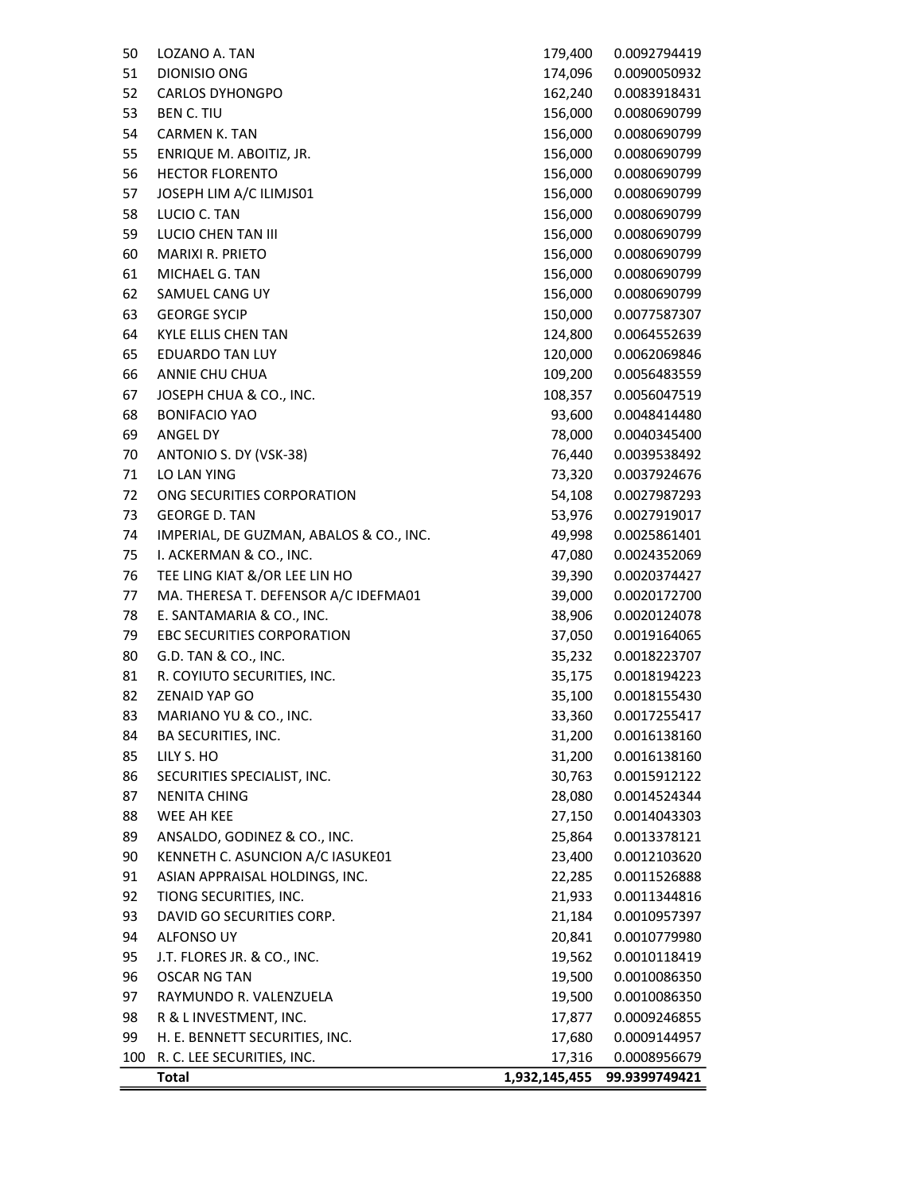|     | <b>Total</b>                             | 1,932,145,455 | 99.9399749421 |
|-----|------------------------------------------|---------------|---------------|
| 100 | R. C. LEE SECURITIES, INC.               | 17,316        | 0.0008956679  |
| 99  | H. E. BENNETT SECURITIES, INC.           | 17,680        | 0.0009144957  |
| 98  | R & L INVESTMENT, INC.                   | 17,877        | 0.0009246855  |
| 97  | RAYMUNDO R. VALENZUELA                   | 19,500        | 0.0010086350  |
| 96  | <b>OSCAR NG TAN</b>                      | 19,500        | 0.0010086350  |
| 95  | J.T. FLORES JR. & CO., INC.              | 19,562        | 0.0010118419  |
| 94  | ALFONSO UY                               | 20,841        | 0.0010779980  |
| 93  | DAVID GO SECURITIES CORP.                | 21,184        | 0.0010957397  |
| 92  | TIONG SECURITIES, INC.                   | 21,933        | 0.0011344816  |
| 91  | ASIAN APPRAISAL HOLDINGS, INC.           | 22,285        | 0.0011526888  |
| 90  | KENNETH C. ASUNCION A/C IASUKE01         | 23,400        | 0.0012103620  |
| 89  | ANSALDO, GODINEZ & CO., INC.             | 25,864        | 0.0013378121  |
| 88  | WEE AH KEE                               | 27,150        | 0.0014043303  |
| 87  | NENITA CHING                             | 28,080        | 0.0014524344  |
| 86  | SECURITIES SPECIALIST, INC.              | 30,763        | 0.0015912122  |
| 85  | LILY S. HO                               | 31,200        | 0.0016138160  |
| 84  | BA SECURITIES, INC.                      | 31,200        | 0.0016138160  |
| 83  | MARIANO YU & CO., INC.                   | 33,360        | 0.0017255417  |
| 82  | <b>ZENAID YAP GO</b>                     | 35,100        | 0.0018155430  |
| 81  | R. COYIUTO SECURITIES, INC.              | 35,175        | 0.0018194223  |
| 80  | G.D. TAN & CO., INC.                     | 35,232        | 0.0018223707  |
| 79  | EBC SECURITIES CORPORATION               | 37,050        | 0.0019164065  |
| 78  | E. SANTAMARIA & CO., INC.                | 38,906        | 0.0020124078  |
| 77  | MA. THERESA T. DEFENSOR A/C IDEFMA01     | 39,000        | 0.0020172700  |
| 76  | TEE LING KIAT &/OR LEE LIN HO            | 39,390        | 0.0020374427  |
| 75  | I. ACKERMAN & CO., INC.                  | 47,080        | 0.0024352069  |
| 74  | IMPERIAL, DE GUZMAN, ABALOS & CO., INC.  | 49,998        | 0.0025861401  |
| 73  | <b>GEORGE D. TAN</b>                     | 53,976        | 0.0027919017  |
| 72  | ONG SECURITIES CORPORATION               | 54,108        | 0.0027987293  |
| 71  | LO LAN YING                              | 73,320        | 0.0037924676  |
| 70  | ANTONIO S. DY (VSK-38)                   | 76,440        | 0.0039538492  |
| 69  | ANGEL DY                                 | 78,000        | 0.0040345400  |
| 68  | <b>BONIFACIO YAO</b>                     | 93,600        | 0.0048414480  |
| 67  | JOSEPH CHUA & CO., INC.                  | 108,357       | 0.0056047519  |
| 66  |                                          | 109,200       | 0.0056483559  |
| 65  | <b>EDUARDO TAN LUY</b><br>ANNIE CHU CHUA | 120,000       | 0.0062069846  |
| 64  | KYLE ELLIS CHEN TAN                      | 124,800       | 0.0064552639  |
|     | <b>GEORGE SYCIP</b>                      | 150,000       | 0.0077587307  |
| 63  |                                          |               |               |
| 62  | SAMUEL CANG UY                           | 156,000       | 0.0080690799  |
| 61  | MICHAEL G. TAN                           | 156,000       | 0.0080690799  |
| 60  | <b>MARIXI R. PRIETO</b>                  | 156,000       | 0.0080690799  |
| 59  | <b>LUCIO CHEN TAN III</b>                | 156,000       | 0.0080690799  |
| 58  | LUCIO C. TAN                             | 156,000       | 0.0080690799  |
| 57  | JOSEPH LIM A/C ILIMJS01                  | 156,000       | 0.0080690799  |
| 56  | <b>HECTOR FLORENTO</b>                   | 156,000       | 0.0080690799  |
| 55  | ENRIQUE M. ABOITIZ, JR.                  | 156,000       | 0.0080690799  |
| 54  | <b>CARMEN K. TAN</b>                     | 156,000       | 0.0080690799  |
| 53  | <b>BEN C. TIU</b>                        | 156,000       | 0.0080690799  |
| 52  | <b>CARLOS DYHONGPO</b>                   | 162,240       | 0.0083918431  |
| 51  | DIONISIO ONG                             | 174,096       | 0.0090050932  |
| 50  | LOZANO A. TAN                            | 179,400       | 0.0092794419  |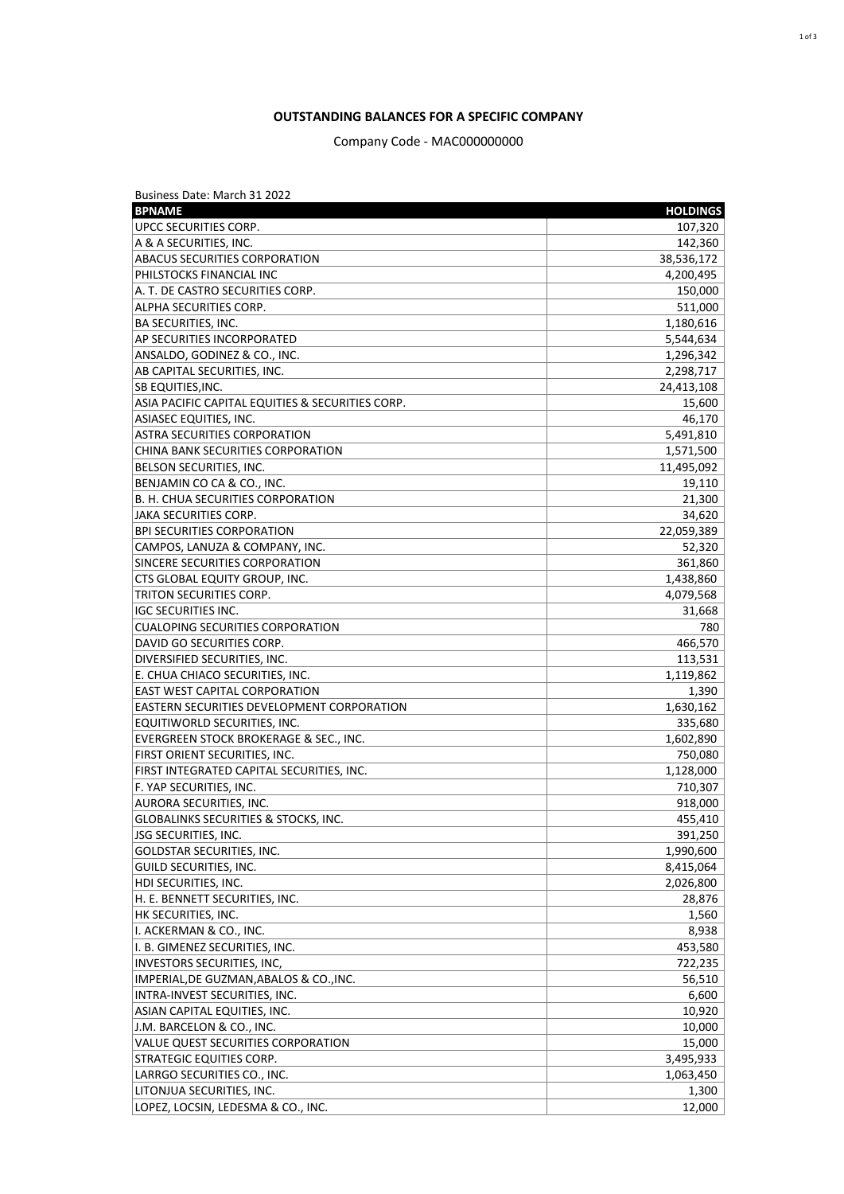## **OUTSTANDING BALANCES FOR A SPECIFIC COMPANY**

## Company Code - MAC000000000

| Business Date: March 31 2022                      |                 |
|---------------------------------------------------|-----------------|
| <b>BPNAME</b>                                     | <b>HOLDINGS</b> |
| UPCC SECURITIES CORP.                             | 107,320         |
| A & A SECURITIES, INC.                            | 142,360         |
| <b>ABACUS SECURITIES CORPORATION</b>              | 38,536,172      |
| PHILSTOCKS FINANCIAL INC                          | 4,200,495       |
| A. T. DE CASTRO SECURITIES CORP.                  | 150,000         |
| ALPHA SECURITIES CORP.                            | 511,000         |
| <b>BA SECURITIES, INC.</b>                        | 1,180,616       |
| AP SECURITIES INCORPORATED                        | 5,544,634       |
| ANSALDO, GODINEZ & CO., INC.                      | 1,296,342       |
| AB CAPITAL SECURITIES, INC.                       | 2,298,717       |
| SB EQUITIES,INC.                                  | 24,413,108      |
| ASIA PACIFIC CAPITAL EQUITIES & SECURITIES CORP.  | 15,600          |
| <b>ASIASEC EQUITIES, INC.</b>                     | 46,170          |
| <b>ASTRA SECURITIES CORPORATION</b>               | 5,491,810       |
| CHINA BANK SECURITIES CORPORATION                 | 1,571,500       |
| <b>BELSON SECURITIES, INC.</b>                    | 11,495,092      |
| BENJAMIN CO CA & CO., INC.                        | 19,110          |
| B. H. CHUA SECURITIES CORPORATION                 | 21,300          |
| JAKA SECURITIES CORP.                             | 34,620          |
| <b>BPI SECURITIES CORPORATION</b>                 | 22,059,389      |
| CAMPOS, LANUZA & COMPANY, INC.                    | 52,320          |
| SINCERE SECURITIES CORPORATION                    | 361,860         |
| CTS GLOBAL EQUITY GROUP, INC.                     | 1,438,860       |
| TRITON SECURITIES CORP.                           | 4,079,568       |
| <b>IGC SECURITIES INC.</b>                        | 31,668          |
| <b>CUALOPING SECURITIES CORPORATION</b>           | 780             |
| DAVID GO SECURITIES CORP.                         | 466,570         |
| DIVERSIFIED SECURITIES, INC.                      | 113,531         |
| E. CHUA CHIACO SECURITIES, INC.                   | 1,119,862       |
| EAST WEST CAPITAL CORPORATION                     | 1,390           |
| <b>EASTERN SECURITIES DEVELOPMENT CORPORATION</b> | 1,630,162       |
| EQUITIWORLD SECURITIES, INC.                      | 335,680         |
| EVERGREEN STOCK BROKERAGE & SEC., INC.            | 1,602,890       |
| FIRST ORIENT SECURITIES, INC.                     | 750,080         |
| FIRST INTEGRATED CAPITAL SECURITIES, INC.         | 1,128,000       |
| F. YAP SECURITIES, INC.                           | 710,307         |
| <b>AURORA SECURITIES, INC.</b>                    | 918,000         |
| <b>GLOBALINKS SECURITIES &amp; STOCKS, INC.</b>   | 455,410         |
| <b>JSG SECURITIES, INC.</b>                       | 391,250         |
| GOLDSTAR SECURITIES, INC.                         | 1,990,600       |
| <b>GUILD SECURITIES, INC.</b>                     | 8,415,064       |
| HDI SECURITIES, INC.                              | 2,026,800       |
|                                                   |                 |
| H. E. BENNETT SECURITIES, INC.                    | 28,876          |
| HK SECURITIES, INC.<br>I. ACKERMAN & CO., INC.    | 1,560           |
|                                                   | 8,938           |
| I. B. GIMENEZ SECURITIES, INC.                    | 453,580         |
| <b>INVESTORS SECURITIES, INC,</b>                 | 722,235         |
| IMPERIAL, DE GUZMAN, ABALOS & CO., INC.           | 56,510          |
| INTRA-INVEST SECURITIES, INC.                     | 6,600           |
| ASIAN CAPITAL EQUITIES, INC.                      | 10,920          |
| J.M. BARCELON & CO., INC.                         | 10,000          |
| VALUE QUEST SECURITIES CORPORATION                | 15,000          |
| STRATEGIC EQUITIES CORP.                          | 3,495,933       |
| LARRGO SECURITIES CO., INC.                       | 1,063,450       |
| LITONJUA SECURITIES, INC.                         | 1,300           |
| LOPEZ, LOCSIN, LEDESMA & CO., INC.                | 12,000          |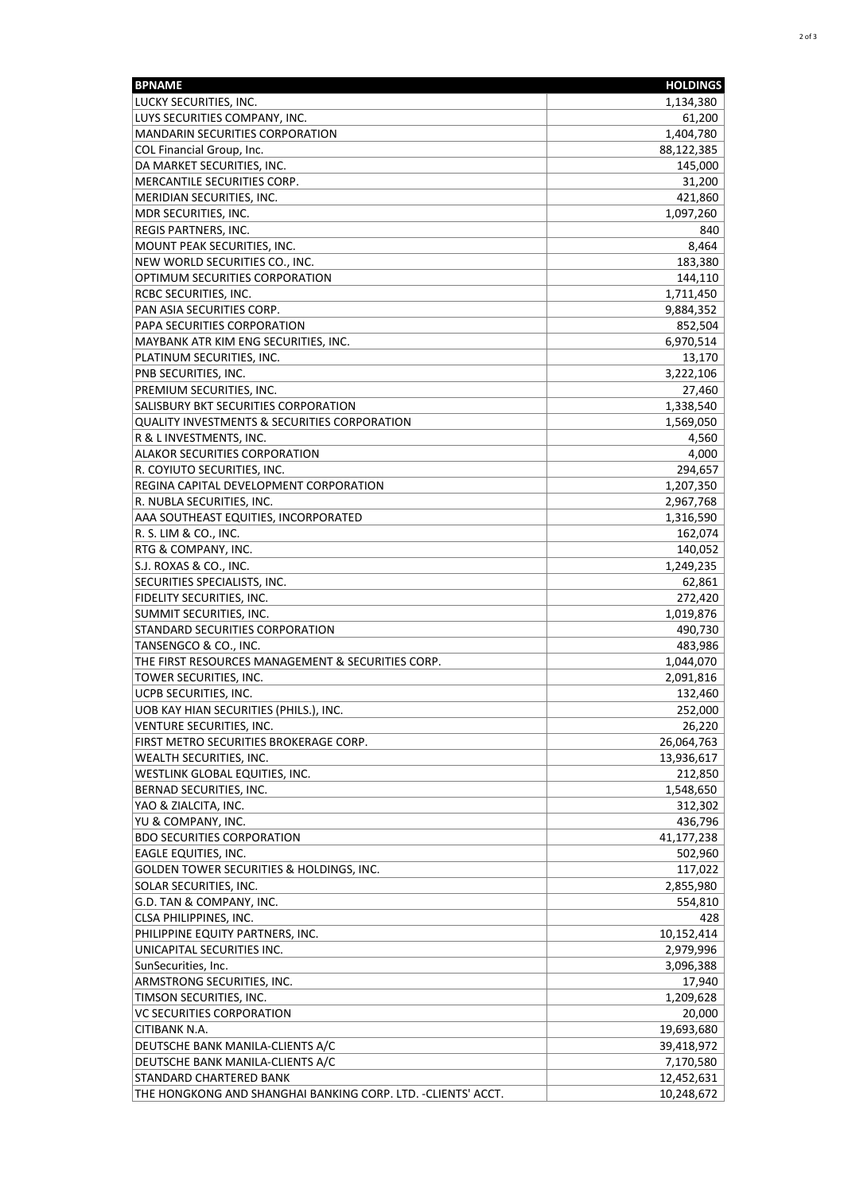| <b>BPNAME</b>                                                                        | <b>HOLDINGS</b>          |
|--------------------------------------------------------------------------------------|--------------------------|
| LUCKY SECURITIES, INC.                                                               | 1,134,380                |
| LUYS SECURITIES COMPANY, INC.                                                        | 61,200                   |
| <b>MANDARIN SECURITIES CORPORATION</b>                                               | 1,404,780                |
| COL Financial Group, Inc.                                                            | 88,122,385               |
| DA MARKET SECURITIES, INC.                                                           | 145,000                  |
| MERCANTILE SECURITIES CORP.                                                          | 31,200                   |
| MERIDIAN SECURITIES, INC.                                                            | 421,860                  |
| MDR SECURITIES, INC.                                                                 | 1,097,260                |
| REGIS PARTNERS, INC.                                                                 | 840                      |
| MOUNT PEAK SECURITIES, INC.                                                          | 8,464                    |
| NEW WORLD SECURITIES CO., INC.                                                       | 183,380                  |
| OPTIMUM SECURITIES CORPORATION                                                       | 144,110                  |
| RCBC SECURITIES, INC.                                                                | 1,711,450                |
| PAN ASIA SECURITIES CORP.                                                            | 9,884,352                |
| PAPA SECURITIES CORPORATION                                                          | 852,504                  |
| MAYBANK ATR KIM ENG SECURITIES, INC.                                                 | 6,970,514                |
| PLATINUM SECURITIES, INC.                                                            | 13,170                   |
| PNB SECURITIES, INC.                                                                 | 3,222,106                |
| PREMIUM SECURITIES, INC.                                                             | 27,460                   |
| SALISBURY BKT SECURITIES CORPORATION<br>QUALITY INVESTMENTS & SECURITIES CORPORATION | 1,338,540                |
|                                                                                      | 1,569,050<br>4,560       |
| R & L INVESTMENTS, INC.                                                              | 4,000                    |
| ALAKOR SECURITIES CORPORATION<br>R. COYIUTO SECURITIES, INC.                         |                          |
| REGINA CAPITAL DEVELOPMENT CORPORATION                                               | 294,657<br>1,207,350     |
| R. NUBLA SECURITIES, INC.                                                            | 2,967,768                |
| AAA SOUTHEAST EQUITIES, INCORPORATED                                                 | 1,316,590                |
| R. S. LIM & CO., INC.                                                                | 162,074                  |
| RTG & COMPANY, INC.                                                                  | 140,052                  |
| S.J. ROXAS & CO., INC.                                                               | 1,249,235                |
| SECURITIES SPECIALISTS, INC.                                                         | 62,861                   |
| FIDELITY SECURITIES, INC.                                                            | 272,420                  |
| SUMMIT SECURITIES, INC.                                                              | 1,019,876                |
| STANDARD SECURITIES CORPORATION                                                      | 490,730                  |
| TANSENGCO & CO., INC.                                                                | 483,986                  |
| THE FIRST RESOURCES MANAGEMENT & SECURITIES CORP.                                    | 1,044,070                |
| TOWER SECURITIES, INC.                                                               | 2,091,816                |
| UCPB SECURITIES, INC.                                                                | 132,460                  |
| UOB KAY HIAN SECURITIES (PHILS.), INC.                                               | 252,000                  |
| VENTURE SECURITIES, INC.                                                             | 26,220                   |
| FIRST METRO SECURITIES BROKERAGE CORP.                                               | 26,064,763               |
| WEALTH SECURITIES, INC.                                                              | 13,936,617               |
| WESTLINK GLOBAL EQUITIES, INC.                                                       | 212,850                  |
| BERNAD SECURITIES, INC.                                                              | 1,548,650                |
| YAO & ZIALCITA, INC.                                                                 | 312,302                  |
| YU & COMPANY, INC.                                                                   | 436,796                  |
| <b>BDO SECURITIES CORPORATION</b>                                                    | 41,177,238               |
| EAGLE EQUITIES, INC.                                                                 | 502,960                  |
| GOLDEN TOWER SECURITIES & HOLDINGS, INC.                                             | 117,022                  |
| SOLAR SECURITIES, INC.                                                               | 2,855,980                |
| G.D. TAN & COMPANY, INC.                                                             | 554,810                  |
| CLSA PHILIPPINES, INC.                                                               | 428                      |
| PHILIPPINE EQUITY PARTNERS, INC.                                                     | 10,152,414               |
| UNICAPITAL SECURITIES INC.                                                           | 2,979,996                |
| SunSecurities, Inc.                                                                  | 3,096,388                |
| ARMSTRONG SECURITIES, INC.                                                           | 17,940                   |
| TIMSON SECURITIES, INC.                                                              | 1,209,628                |
| VC SECURITIES CORPORATION                                                            | 20,000                   |
| CITIBANK N.A.<br>DEUTSCHE BANK MANILA-CLIENTS A/C                                    | 19,693,680<br>39,418,972 |
| DEUTSCHE BANK MANILA-CLIENTS A/C                                                     | 7,170,580                |
| STANDARD CHARTERED BANK                                                              | 12,452,631               |
| THE HONGKONG AND SHANGHAI BANKING CORP. LTD. - CLIENTS' ACCT.                        | 10,248,672               |
|                                                                                      |                          |